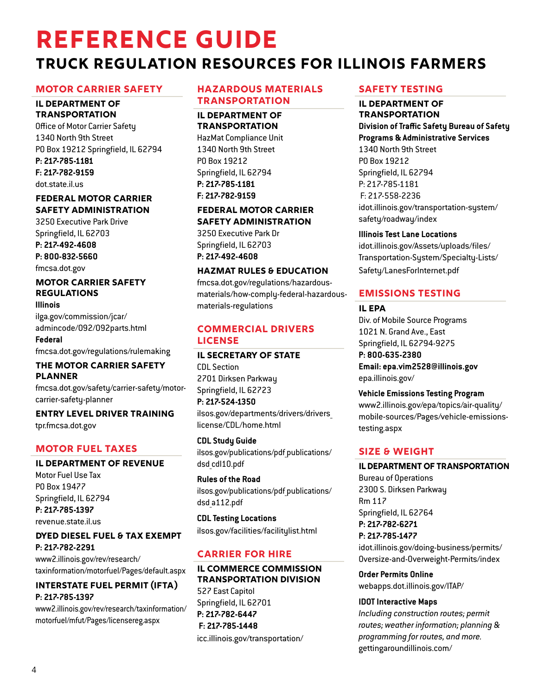# **Reference Guide Truck Regulation Resources For Illinois Farmers**

## **MOTOR CARRIER SAFETY**

#### **IL DEPARTMENT OF TRANSPORTATION**

Office of Motor Carrier Safety 1340 North 9th Street PO Box 19212 Springfield, IL 62794 **P: 217-785-1181 F: 217-782-9159**  [dot.state.il.us](http://dot.state.il.us)

## **FEDERAL MOTOR CARRIER SAFETY ADMINISTRATION**

3250 Executive Park Drive Springfield, IL 62703 **P: 217-492-4608 P: 800-832-5660** 

[fmcsa.dot.gov](http://fmcsa.dot.gov  ) 

#### **MOTOR CARRIER SAFETY REGULATIONS Illinois**

[ilga.gov/commission/jcar/](http://ilga.gov/commission/jcar/admincode/092/092parts.html) [admincode/092/092parts.html](http://ilga.gov/commission/jcar/admincode/092/092parts.html)

**Federal**  [fmcsa.dot.gov/regulations/rulemaking](http://fmcsa.dot.gov/regulations/rulemaking  ) 

## **THE MOTOR CARRIER SAFETY PLANNER**

[fmcsa.dot.gov/safety/carrier-safety/motor](http://fmcsa.dot.gov/safety/carrier-safety/motor-carrier-safety-planner)[carrier-safety-planner](http://fmcsa.dot.gov/safety/carrier-safety/motor-carrier-safety-planner)

**ENTRY LEVEL DRIVER TRAINING** tpr.fmcsa.dot.gov

## **MOTOR FUEL TAXES**

## **IL DEPARTMENT OF REVENUE**

Motor Fuel Use Tax PO Box 19477 Springfield, IL 62794 **P: 217-785-1397**  [revenue.state.il.us](http://revenue.state.il.us ) 

## **DYED DIESEL FUEL & TAX EXEMPT P: 217-782-2291**

[www2.illinois.gov/rev/research/](http://www2.illinois.gov/rev/research/taxinformation/motorfuel/Pages/default.aspx ) [taxinformation/motorfuel/Pages/default.aspx](http://www2.illinois.gov/rev/research/taxinformation/motorfuel/Pages/default.aspx )

## **INTERSTATE FUEL PERMIT (IFTA) P: 217-785-1397**

[www2.illinois.gov/rev/research/taxinformation/](http://www2.illinois.gov/rev/research/taxinformation/motorfuel/mfut/Pages/licensereg.aspx) [motorfuel/mfut/Pages/licensereg.aspx](http://www2.illinois.gov/rev/research/taxinformation/motorfuel/mfut/Pages/licensereg.aspx)

## **HAZARDOUS MATERIALS TRANSPORTATION**

## **IL DEPARTMENT OF TRANSPORTATION**

HazMat Compliance Unit 1340 North 9th Street PO Box 19212 Springfield, IL 62794 **P: 217-785-1181 F: 217-782-9159** 

# **FEDERAL MOTOR CARRIER SAFETY ADMINISTRATION**

3250 Executive Park Dr Springfield, IL 62703 **P: 217-492-4608** 

## **HAZMAT RULES & EDUCATION**

[fmcsa.dot.gov/regulations/hazardous](http://fmcsa.dot.gov/regulations/hazardous-materials/how-comply-federal-hazardous-materials-regulations)[materials/how-comply-federal-hazardous](http://fmcsa.dot.gov/regulations/hazardous-materials/how-comply-federal-hazardous-materials-regulations)[materials-regulations](http://fmcsa.dot.gov/regulations/hazardous-materials/how-comply-federal-hazardous-materials-regulations)

## **COMMERCIAL DRIVERS LICENSE**

# **IL SECRETARY OF STATE**  CDL Section

2701 Dirksen Parkway Springfield, IL 62723 **P: 217-524-1350** 

## ilsos.gov/departments/drivers/drivers\_ license/CDL/home.html

**CDL Study Guide** ilsos.gov/publications/pdf\_publications/ dsd\_cdl10.pdf

**Rules of the Road** ilsos.gov/publications/pdf\_publications/ dsd\_a112.pd[f](http://cyberdriveillinois.com/publications/pdf_publications/dsd_a112.pdf  )

**CDL Testing Locations** ilsos.gov/facilities/facilitylist.htm[l](http://cyberdriveillinois.com/facilities/facilitylist.html )

# **CARRIER FOR HIRE**

#### **IL COMMERCE COMMISSION TRANSPORTATION DIVISION**

527 East Capitol Springfield, IL 62701 **P: 217-782-6447 F: 217-785-1448**  [icc.illinois.gov/transportation/](http://icc.illinois.gov/transportation/ )

# **SAFETY TESTING**

# **IL DEPARTMENT OF**

**TRANSPORTATION Division of Traffic Safety Bureau of Safety Programs & Administrative Services**  1340 North 9th Street PO Box 19212 Springfield, IL 62794 P: 217-785-1181 F: 217-558-2236 [idot.illinois.gov/transportation-system/](http://idot.illinois.gov/transportation-system/safety/roadway/index ) [safety/roadway/index](http://idot.illinois.gov/transportation-system/safety/roadway/index )

## **Illinois Test Lane Locations**

[idot.illinois.gov/Assets/uploads/files/](http://idot.illinois.gov/Assets/uploads/files/Transportation-System/Specialty-Lists/Safety/LanesForInternet.pdf ) [Transportation-System/Specialty-Lists/](http://idot.illinois.gov/Assets/uploads/files/Transportation-System/Specialty-Lists/Safety/LanesForInternet.pdf ) [Safety/LanesForInternet.pdf](http://idot.illinois.gov/Assets/uploads/files/Transportation-System/Specialty-Lists/Safety/LanesForInternet.pdf )

# **EMISSIONS TESTING**

## **IL EPA**

Div. of Mobile Source Programs 1021 N. Grand Ave., East Springfield, IL 62794-9275 **P: 800-635-2380 Email: epa.vim2528@illinois.gov**  [epa.illinois.gov/](http://epa.illinois.gov/  ) 

## **Vehicle Emissions Testing Program**

[www2.illinois.gov/epa/topics/air-quality/](http://www2.illinois.gov/epa/topics/air-quality/mobile-sources/Pages/vehicle-emissions-testing.aspx ) [mobile-sources/Pages/vehicle-emissions](http://www2.illinois.gov/epa/topics/air-quality/mobile-sources/Pages/vehicle-emissions-testing.aspx )[testing.aspx](http://www2.illinois.gov/epa/topics/air-quality/mobile-sources/Pages/vehicle-emissions-testing.aspx )

## **SIZE & WEIGHT**

## **IL DEPARTMENT OF TRANSPORTATION**

Bureau of Operations 2300 S. Dirksen Parkway Rm 117 Springfield, IL 62764 **P: 217-782-6271 P: 217-785-1477** 

[idot.illinois.gov/doing-business/permits/](http://idot.illinois.gov/doing-business/permits/Oversize-and-Overweight-Permits/index ) [Oversize-and-Overweight-Permits/index](http://idot.illinois.gov/doing-business/permits/Oversize-and-Overweight-Permits/index )

**Order Permits Online**  [webapps.dot.illinois.gov/ITAP/](http://webapps.dot.illinois.gov/ITAP/  ) 

## **IDOT Interactive Maps**

*Including construction routes; permit routes; weather information; planning & programming for routes, and more.* [gettingaroundillinois.com/](http://gettingaroundillinois.com/ )